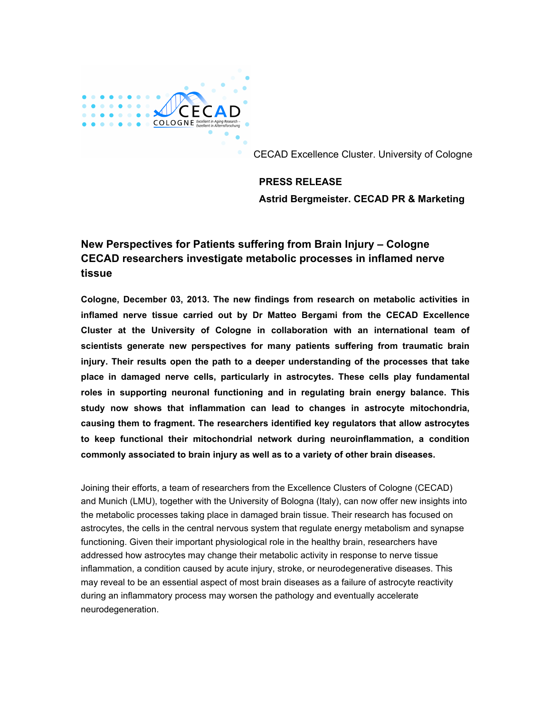

CECAD Excellence Cluster. University of Cologne

**PRESS RELEASE Astrid Bergmeister. CECAD PR & Marketing**

## **New Perspectives for Patients suffering from Brain Injury – Cologne CECAD researchers investigate metabolic processes in inflamed nerve tissue**

**Cologne, December 03, 2013. The new findings from research on metabolic activities in inflamed nerve tissue carried out by Dr Matteo Bergami from the CECAD Excellence Cluster at the University of Cologne in collaboration with an international team of scientists generate new perspectives for many patients suffering from traumatic brain injury. Their results open the path to a deeper understanding of the processes that take place in damaged nerve cells, particularly in astrocytes. These cells play fundamental roles in supporting neuronal functioning and in regulating brain energy balance. This study now shows that inflammation can lead to changes in astrocyte mitochondria, causing them to fragment. The researchers identified key regulators that allow astrocytes to keep functional their mitochondrial network during neuroinflammation, a condition commonly associated to brain injury as well as to a variety of other brain diseases.**

Joining their efforts, a team of researchers from the Excellence Clusters of Cologne (CECAD) and Munich (LMU), together with the University of Bologna (Italy), can now offer new insights into the metabolic processes taking place in damaged brain tissue. Their research has focused on astrocytes, the cells in the central nervous system that regulate energy metabolism and synapse functioning. Given their important physiological role in the healthy brain, researchers have addressed how astrocytes may change their metabolic activity in response to nerve tissue inflammation, a condition caused by acute injury, stroke, or neurodegenerative diseases. This may reveal to be an essential aspect of most brain diseases as a failure of astrocyte reactivity during an inflammatory process may worsen the pathology and eventually accelerate neurodegeneration.